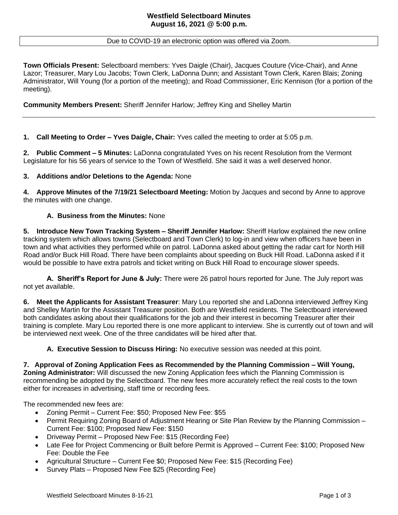# Due to COVID-19 an electronic option was offered via Zoom.

**Town Officials Present:** Selectboard members: Yves Daigle (Chair), Jacques Couture (Vice-Chair), and Anne Lazor; Treasurer, Mary Lou Jacobs; Town Clerk, LaDonna Dunn; and Assistant Town Clerk, Karen Blais; Zoning Administrator, Will Young (for a portion of the meeting); and Road Commissioner, Eric Kennison (for a portion of the meeting).

# **Community Members Present:** Sheriff Jennifer Harlow; Jeffrey King and Shelley Martin

**1. Call Meeting to Order – Yves Daigle, Chair:** Yves called the meeting to order at 5:05 p.m.

**2. Public Comment – 5 Minutes:** LaDonna congratulated Yves on his recent Resolution from the Vermont Legislature for his 56 years of service to the Town of Westfield. She said it was a well deserved honor.

### **3. Additions and/or Deletions to the Agenda:** None

**4. Approve Minutes of the 7/19/21 Selectboard Meeting:** Motion by Jacques and second by Anne to approve the minutes with one change.

### **A. Business from the Minutes:** None

**5. Introduce New Town Tracking System – Sheriff Jennifer Harlow:** Sheriff Harlow explained the new online tracking system which allows towns (Selectboard and Town Clerk) to log-in and view when officers have been in town and what activities they performed while on patrol. LaDonna asked about getting the radar cart for North Hill Road and/or Buck Hill Road. There have been complaints about speeding on Buck Hill Road. LaDonna asked if it would be possible to have extra patrols and ticket writing on Buck Hill Road to encourage slower speeds.

**A. Sheriff's Report for June & July:** There were 26 patrol hours reported for June. The July report was not yet available.

**6. Meet the Applicants for Assistant Treasurer**: Mary Lou reported she and LaDonna interviewed Jeffrey King and Shelley Martin for the Assistant Treasurer position. Both are Westfield residents. The Selectboard interviewed both candidates asking about their qualifications for the job and their interest in becoming Treasurer after their training is complete. Mary Lou reported there is one more applicant to interview. She is currently out of town and will be interviewed next week. One of the three candidates will be hired after that.

**A. Executive Session to Discuss Hiring:** No executive session was needed at this point.

**7. Approval of Zoning Application Fees as Recommended by the Planning Commission – Will Young, Zoning Administrator:** Will discussed the new Zoning Application fees which the Planning Commission is recommending be adopted by the Selectboard. The new fees more accurately reflect the real costs to the town either for increases in advertising, staff time or recording fees.

The recommended new fees are:

- Zoning Permit Current Fee: \$50; Proposed New Fee: \$55
- Permit Requiring Zoning Board of Adjustment Hearing or Site Plan Review by the Planning Commission Current Fee: \$100; Proposed New Fee: \$150
- Driveway Permit Proposed New Fee: \$15 (Recording Fee)
- Late Fee for Project Commencing or Built before Permit is Approved Current Fee: \$100; Proposed New Fee: Double the Fee
- Agricultural Structure Current Fee \$0; Proposed New Fee: \$15 (Recording Fee)
- Survey Plats Proposed New Fee \$25 (Recording Fee)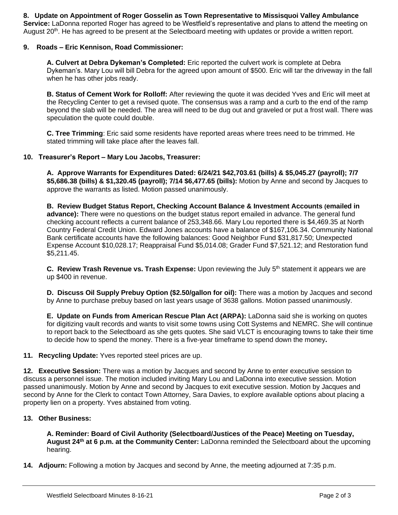**8. Update on Appointment of Roger Gosselin as Town Representative to Missisquoi Valley Ambulance Service:** LaDonna reported Roger has agreed to be Westfield's representative and plans to attend the meeting on August 20<sup>th</sup>. He has agreed to be present at the Selectboard meeting with updates or provide a written report.

# **9. Roads – Eric Kennison, Road Commissioner:**

**A. Culvert at Debra Dykeman's Completed:** Eric reported the culvert work is complete at Debra Dykeman's. Mary Lou will bill Debra for the agreed upon amount of \$500. Eric will tar the driveway in the fall when he has other jobs ready.

**B. Status of Cement Work for Rolloff:** After reviewing the quote it was decided Yves and Eric will meet at the Recycling Center to get a revised quote. The consensus was a ramp and a curb to the end of the ramp beyond the slab will be needed. The area will need to be dug out and graveled or put a frost wall. There was speculation the quote could double.

**C. Tree Trimming**: Eric said some residents have reported areas where trees need to be trimmed. He stated trimming will take place after the leaves fall.

### **10. Treasurer's Report – Mary Lou Jacobs, Treasurer:**

**A. Approve Warrants for Expenditures Dated: 6/24/21 \$42,703.61 (bills) & \$5,045.27 (payroll); 7/7 \$5,686.38 (bills) & \$1,320.45 (payroll); 7/14 \$6,477.65 (bills):** Motion by Anne and second by Jacques to approve the warrants as listed. Motion passed unanimously.

**B. Review Budget Status Report, Checking Account Balance & Investment Accounts (emailed in advance):** There were no questions on the budget status report emailed in advance. The general fund checking account reflects a current balance of 253,348.66. Mary Lou reported there is \$4,469.35 at North Country Federal Credit Union. Edward Jones accounts have a balance of \$167,106.34. Community National Bank certificate accounts have the following balances: Good Neighbor Fund \$31,817.50; Unexpected Expense Account \$10,028.17; Reappraisal Fund \$5,014.08; Grader Fund \$7,521.12; and Restoration fund \$5,211.45.

**C.** Review Trash Revenue vs. Trash Expense: Upon reviewing the July 5<sup>th</sup> statement it appears we are up \$400 in revenue.

**D. Discuss Oil Supply Prebuy Option (\$2.50/gallon for oil):** There was a motion by Jacques and second by Anne to purchase prebuy based on last years usage of 3638 gallons. Motion passed unanimously.

**E. Update on Funds from American Rescue Plan Act (ARPA):** LaDonna said she is working on quotes for digitizing vault records and wants to visit some towns using Cott Systems and NEMRC. She will continue to report back to the Selectboard as she gets quotes. She said VLCT is encouraging towns to take their time to decide how to spend the money. There is a five-year timeframe to spend down the money**.** 

**11. Recycling Update:** Yves reported steel prices are up.

**12. Executive Session:** There was a motion by Jacques and second by Anne to enter executive session to discuss a personnel issue. The motion included inviting Mary Lou and LaDonna into executive session. Motion passed unanimously. Motion by Anne and second by Jacques to exit executive session. Motion by Jacques and second by Anne for the Clerk to contact Town Attorney, Sara Davies, to explore available options about placing a property lien on a property. Yves abstained from voting.

### **13. Other Business:**

**A. Reminder: Board of Civil Authority (Selectboard/Justices of the Peace) Meeting on Tuesday, August 24th at 6 p.m. at the Community Center:** LaDonna reminded the Selectboard about the upcoming hearing.

**14. Adjourn:** Following a motion by Jacques and second by Anne, the meeting adjourned at 7:35 p.m.